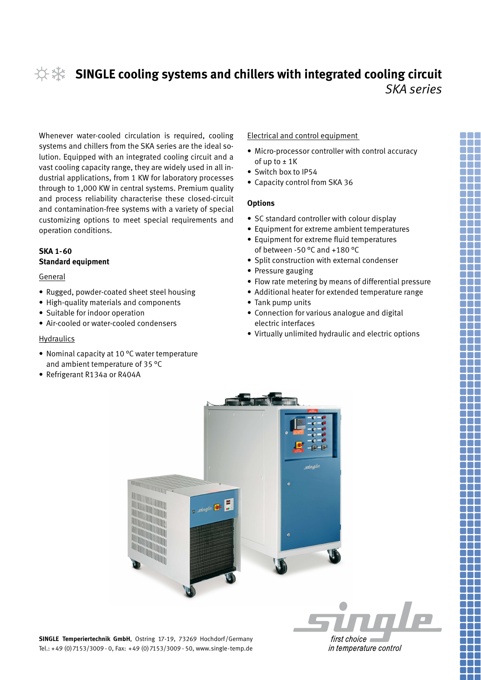# **SINGLE cooling systems and chillers with integrated cooling circuit** *SKA series*

Whenever water-cooled circulation is required, cooling systems and chillers from the SKA series are the ideal solution. Equipped with an integrated cooling circuit and a vast cooling capacity range, they are widely used in all industrial applications, from 1 KW for laboratory processes through to 1,000 KW in central systems. Premium quality and process reliability characterise these closed-circuit and contamination-free systems with a variety of special customizing options to meet special requirements and operation conditions.

## **SKA 1-60 Standard equipment**

#### General

- Rugged, powder-coated sheet steel housing
- • High-quality materials and components
- Suitable for indoor operation
- Air-cooled or water-cooled condensers

#### Hydraulics

- Nominal capacity at 10 °C water temperature and ambient temperature of 35 °C
- Refrigerant R134a or R404A

### Electrical and control equipment

- Micro-processor controller with control accuracy of up to  $\pm$  1K
- Switch box to IP54
- Capacity control from SKA 36

#### **Options**

- SC standard controller with colour display
- Equipment for extreme ambient temperatures
- Equipment for extreme fluid temperatures of between -50 °C and +180 °C
- Split construction with external condenser
- Pressure gauging
- Flow rate metering by means of differential pressure
- Additional heater for extended temperature range
- Tank pump units
- • Connection for various analogue and digital electric interfaces
- • Virtually unlimited hydraulic and electric options



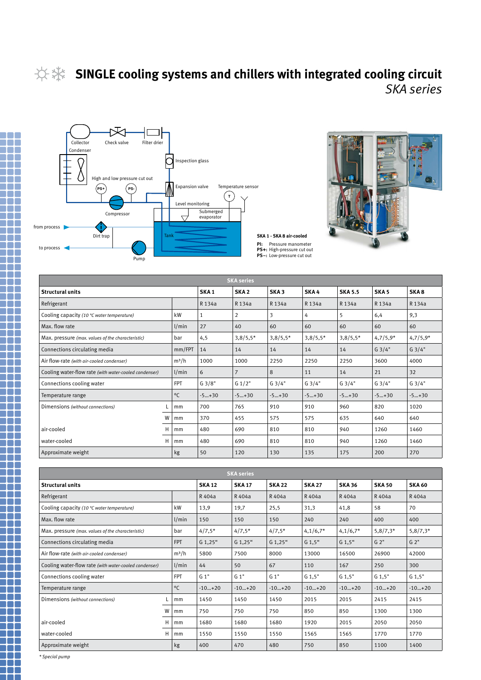**Tara** 

m n

# **SINGLE cooling systems and chillers with integrated cooling circuit** *SKA series*





| <b>SKA</b> series                                              |                  |                  |                  |                |                |                  |            |            |            |  |  |
|----------------------------------------------------------------|------------------|------------------|------------------|----------------|----------------|------------------|------------|------------|------------|--|--|
| <b>Structural units</b>                                        | SKA <sub>1</sub> | SKA <sub>2</sub> | SKA <sub>3</sub> | SKA4           | <b>SKA 5.5</b> | SKA <sub>5</sub> | SKA8       |            |            |  |  |
| Refrigerant                                                    |                  |                  | R 134a           | R 134a         | R 134a         | R 134a           | R 134a     | R 134a     | R 134a     |  |  |
| kW<br>Cooling capacity (10 °C water temperature)               |                  |                  | 1                | $\overline{2}$ | 3              | 4                | 5          | 6,4        | 9,3        |  |  |
| Max. flow rate<br>1/min                                        |                  |                  | 27               | 40             | 60             | 60               | 60         | 60         | 60         |  |  |
| Max. pressure (max. values of the characteristic)<br>bar       |                  |                  | 4,5              | $3,8/5,5*$     | $3,8/5,5*$     | $3,8/5,5*$       | $3,8/5,5*$ | $4,7/5,9*$ | $4,7/5,9*$ |  |  |
| mm/FPT<br>Connections circulating media                        |                  |                  | 14               | 14             | 14             | 14               | 14         | G3/4"      | G3/4"      |  |  |
| $m^3/h$<br>Air flow-rate (with air-cooled condenser)           |                  |                  | 1000             | 1000           | 2250           | 2250             | 2250       | 3600       | 4000       |  |  |
| 1/min<br>Cooling water-flow rate (with water-cooled condenser) |                  |                  | 6                | $\overline{7}$ | 8              | 11               | 14         | 21         | 32         |  |  |
| <b>FPT</b><br>Connections cooling water                        |                  |                  | G3/8"            | G 1/2"         | G3/4"          | G3/4"            | G3/4"      | G3/4"      | G3/4"      |  |  |
| Temperature range                                              |                  | $^{\circ}$ C     | $-5+30$          | $-5+30$        | $-5+30$        | $-5+30$          | $-5+30$    | $-5+30$    | $-5+30$    |  |  |
| Dimensions (without connections)                               |                  | mm               | 700              | 765            | 910            | 910              | 820<br>960 |            | 1020       |  |  |
|                                                                | W                | mm               | 370              | 455            | 575            | 575              | 635        | 640        | 640        |  |  |
| air-cooled                                                     | Н                | mm               | 480              | 690            | 810            | 810              | 940        | 1260       | 1460       |  |  |
| water-cooled                                                   | H                | mm               | 480              | 690            | 810            | 810              | 940        | 1260       | 1460       |  |  |
| Approximate weight                                             |                  | kg               | 50               | 120            | 130            | 135              | 175        | 200        | 270        |  |  |

| <b>SKA</b> series                                              |              |               |               |               |                                |            |                    |            |          |  |  |
|----------------------------------------------------------------|--------------|---------------|---------------|---------------|--------------------------------|------------|--------------------|------------|----------|--|--|
| <b>Structural units</b>                                        | <b>SKA12</b> | <b>SKA 17</b> | <b>SKA 22</b> | <b>SKA 27</b> | <b>SKA 36</b><br><b>SKA 50</b> |            | <b>SKA 60</b>      |            |          |  |  |
| Refrigerant                                                    |              | R 404a        | R 404a        | R 404a        | R 404a                         | R 404a     | R 404a             | R 404a     |          |  |  |
| Cooling capacity (10 °C water temperature)                     | kW           | 13,9          | 19,7          | 25,5          | 31,3                           | 41,8       | 58                 | 70         |          |  |  |
| Max. flow rate                                                 | 1/min        | 150           | 150           | 150           | 240                            | 240        | 400                | 400        |          |  |  |
| Max. pressure (max. values of the characteristic)              | bar          | $4/7,5*$      | $4/7,5*$      | $4/7,5*$      | $4,1/6,7*$                     | $4,1/6,7*$ | $5,8/7,3*$         | $5,8/7,3*$ |          |  |  |
| Connections circulating media<br><b>FPT</b>                    |              |               | G 1,25"       | $G$ 1,25"     | G 1,25"                        | $G$ 1,5"   | $G2$ "<br>$G$ 1,5" |            | $G2$ "   |  |  |
| $m^3/h$<br>Air flow-rate (with air-cooled condenser)           |              |               | 5800          | 7500          | 8000                           | 13000      | 16500              | 26900      | 42000    |  |  |
| 1/min<br>Cooling water-flow rate (with water-cooled condenser) |              |               | 44            | 50            | 67                             | 110        | 167                | 250        | 300      |  |  |
| <b>FPT</b><br>Connections cooling water                        |              |               | $G_1"$        | $G_1"$        | G 1"                           | $G$ 1,5"   | $G$ 1.5"           | $G$ 1,5"   | $G$ 1.5" |  |  |
| Temperature range                                              |              | $^{\circ}$ C  | $-10+20$      | $-10+20$      | $-10+20$                       | $-10+20$   | $-10+20$           | $-10+20$   | $-10+20$ |  |  |
| Dimensions (without connections)                               |              | mm            | 1450          | 1450          | 1450                           | 2015       | 2015               | 2415       | 2415     |  |  |
|                                                                | w            | mm            | 750           | 750           | 750                            | 850        | 850                | 1300       | 1300     |  |  |
| air-cooled                                                     | н            | mm            | 1680          | 1680          | 1680                           | 1920       | 2015               | 2050       | 2050     |  |  |
| water-cooled                                                   | н            | mm            | 1550          | 1550          | 1550                           | 1565       | 1565               | 1770       | 1770     |  |  |
| Approximate weight                                             |              | kg            | 400           | 470           | 480                            | 750        | 850                | 1100       | 1400     |  |  |

*\* Special pump*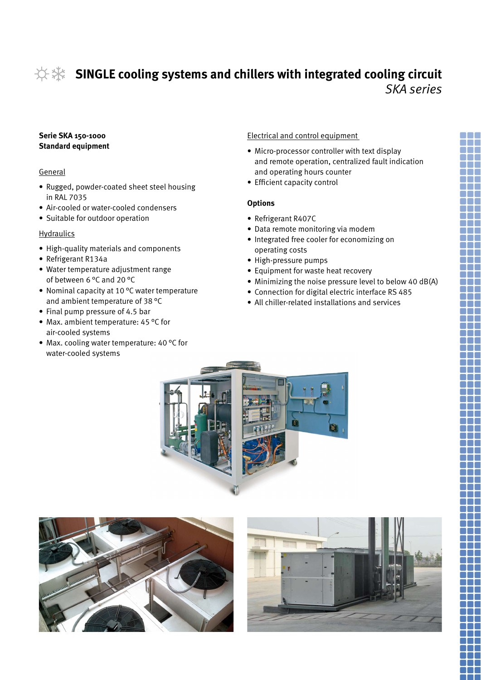# **SINGLE cooling systems and chillers with integrated cooling circuit** *SKA series*

# **Serie SKA 150-1000 Standard equipment**

## General

- Rugged, powder-coated sheet steel housing in RAL 7035
- Air-cooled or water-cooled condensers
- Suitable for outdoor operation

# **Hydraulics**

- • High-quality materials and components
- Refrigerant R134a
- Water temperature adjustment range of between 6 °C and 20 °C
- Nominal capacity at 10 °C water temperature and ambient temperature of 38 °C
- Final pump pressure of 4.5 bar
- Max. ambient temperature: 45  $^{\circ}$ C for air-cooled systems
- Max. cooling water temperature: 40 °C for water-cooled systems

# Electrical and control equipment

- Micro-processor controller with text display and remote operation, centralized fault indication and operating hours counter
- Efficient capacity control

# **Options**

- • Refrigerant R407C
- Data remote monitoring via modem
- Integrated free cooler for economizing on operating costs
- • High-pressure pumps
- Equipment for waste heat recovery
- Minimizing the noise pressure level to below 40 dB(A)
- Connection for digital electric interface RS 485
- All chiller-related installations and services